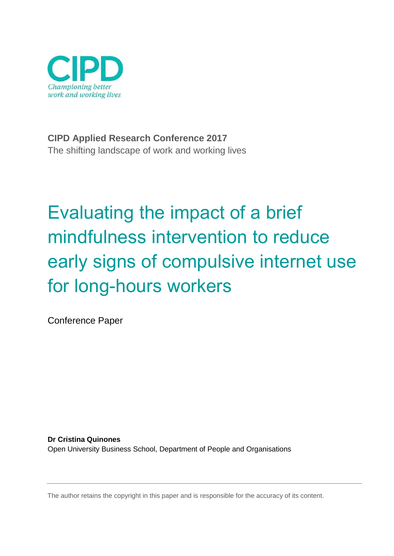

**CIPD Applied Research Conference 2017** The shifting landscape of work and working lives

# Evaluating the impact of a brief mindfulness intervention to reduce early signs of compulsive internet use for long-hours workers

Conference Paper

**Dr Cristina Quinones** Open University Business School, Department of People and Organisations

The author retains the copyright in this paper and is responsible for the accuracy of its content.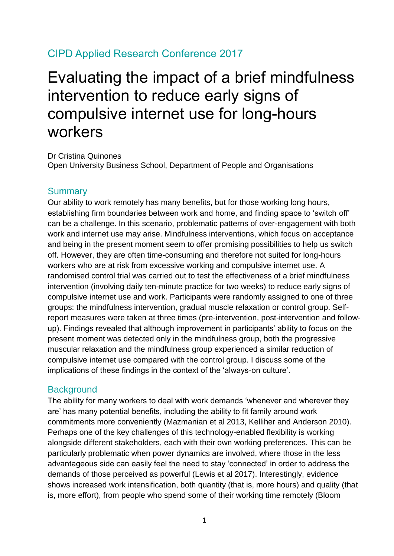# CIPD Applied Research Conference 2017

# Evaluating the impact of a brief mindfulness intervention to reduce early signs of compulsive internet use for long-hours workers

Dr Cristina Quinones Open University Business School, Department of People and Organisations

#### **Summary**

Our ability to work remotely has many benefits, but for those working long hours, establishing firm boundaries between work and home, and finding space to 'switch off' can be a challenge. In this scenario, problematic patterns of over-engagement with both work and internet use may arise. Mindfulness interventions, which focus on acceptance and being in the present moment seem to offer promising possibilities to help us switch off. However, they are often time-consuming and therefore not suited for long-hours workers who are at risk from excessive working and compulsive internet use. A randomised control trial was carried out to test the effectiveness of a brief mindfulness intervention (involving daily ten-minute practice for two weeks) to reduce early signs of compulsive internet use and work. Participants were randomly assigned to one of three groups: the mindfulness intervention, gradual muscle relaxation or control group. Selfreport measures were taken at three times (pre-intervention, post-intervention and followup). Findings revealed that although improvement in participants' ability to focus on the present moment was detected only in the mindfulness group, both the progressive muscular relaxation and the mindfulness group experienced a similar reduction of compulsive internet use compared with the control group. I discuss some of the implications of these findings in the context of the 'always-on culture'.

#### **Background**

The ability for many workers to deal with work demands 'whenever and wherever they are' has many potential benefits, including the ability to fit family around work commitments more conveniently (Mazmanian et al 2013, Kelliher and Anderson 2010). Perhaps one of the key challenges of this technology-enabled flexibility is working alongside different stakeholders, each with their own working preferences. This can be particularly problematic when power dynamics are involved, where those in the less advantageous side can easily feel the need to stay 'connected' in order to address the demands of those perceived as powerful (Lewis et al 2017). Interestingly, evidence shows increased work intensification, both quantity (that is, more hours) and quality (that is, more effort), from people who spend some of their working time remotely (Bloom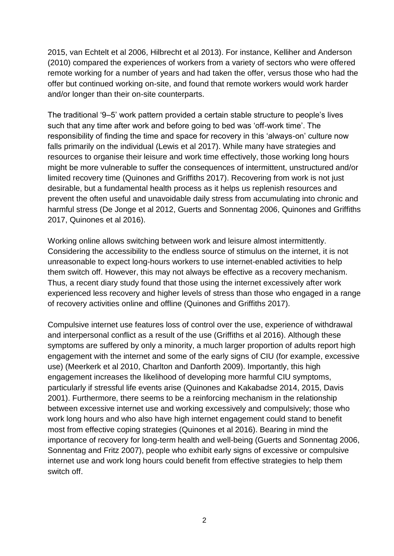2015, van Echtelt et al 2006, Hilbrecht et al 2013). For instance, Kelliher and Anderson (2010) compared the experiences of workers from a variety of sectors who were offered remote working for a number of years and had taken the offer, versus those who had the offer but continued working on-site, and found that remote workers would work harder and/or longer than their on-site counterparts.

The traditional '9–5' work pattern provided a certain stable structure to people's lives such that any time after work and before going to bed was 'off-work time'. The responsibility of finding the time and space for recovery in this 'always-on' culture now falls primarily on the individual (Lewis et al 2017). While many have strategies and resources to organise their leisure and work time effectively, those working long hours might be more vulnerable to suffer the consequences of intermittent, unstructured and/or limited recovery time (Quinones and Griffiths 2017). Recovering from work is not just desirable, but a fundamental health process as it helps us replenish resources and prevent the often useful and unavoidable daily stress from accumulating into chronic and harmful stress (De Jonge et al 2012, Guerts and Sonnentag 2006, Quinones and Griffiths 2017, Quinones et al 2016).

Working online allows switching between work and leisure almost intermittently. Considering the accessibility to the endless source of stimulus on the internet, it is not unreasonable to expect long-hours workers to use internet-enabled activities to help them switch off. However, this may not always be effective as a recovery mechanism. Thus, a recent diary study found that those using the internet excessively after work experienced less recovery and higher levels of stress than those who engaged in a range of recovery activities online and offline (Quinones and Griffiths 2017).

Compulsive internet use features loss of control over the use, experience of withdrawal and interpersonal conflict as a result of the use (Griffiths et al 2016). Although these symptoms are suffered by only a minority, a much larger proportion of adults report high engagement with the internet and some of the early signs of CIU (for example, excessive use) (Meerkerk et al 2010, Charlton and Danforth 2009). Importantly, this high engagement increases the likelihood of developing more harmful CIU symptoms, particularly if stressful life events arise (Quinones and Kakabadse 2014, 2015, Davis 2001). Furthermore, there seems to be a reinforcing mechanism in the relationship between excessive internet use and working excessively and compulsively; those who work long hours and who also have high internet engagement could stand to benefit most from effective coping strategies (Quinones et al 2016). Bearing in mind the importance of recovery for long-term health and well-being (Guerts and Sonnentag 2006, Sonnentag and Fritz 2007), people who exhibit early signs of excessive or compulsive internet use and work long hours could benefit from effective strategies to help them switch off.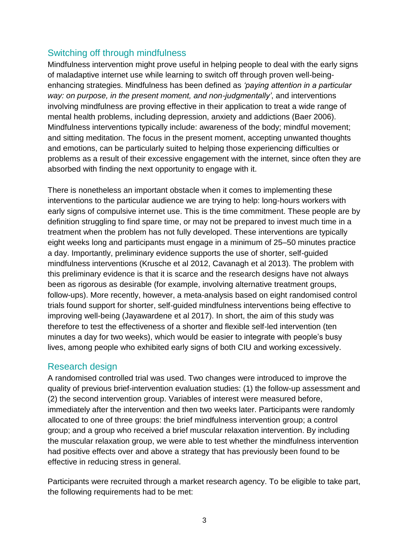## Switching off through mindfulness

Mindfulness intervention might prove useful in helping people to deal with the early signs of maladaptive internet use while learning to switch off through proven well-beingenhancing strategies. Mindfulness has been defined as *'paying attention in a particular way: on purpose, in the present moment, and non-judgmentally'*, and interventions involving mindfulness are proving effective in their application to treat a wide range of mental health problems, including depression, anxiety and addictions (Baer 2006). Mindfulness interventions typically include: awareness of the body; mindful movement; and sitting meditation. The focus in the present moment, accepting unwanted thoughts and emotions, can be particularly suited to helping those experiencing difficulties or problems as a result of their excessive engagement with the internet, since often they are absorbed with finding the next opportunity to engage with it.

There is nonetheless an important obstacle when it comes to implementing these interventions to the particular audience we are trying to help: long-hours workers with early signs of compulsive internet use. This is the time commitment. These people are by definition struggling to find spare time, or may not be prepared to invest much time in a treatment when the problem has not fully developed. These interventions are typically eight weeks long and participants must engage in a minimum of 25–50 minutes practice a day. Importantly, preliminary evidence supports the use of shorter, self-guided mindfulness interventions (Krusche et al 2012, Cavanagh et al 2013). The problem with this preliminary evidence is that it is scarce and the research designs have not always been as rigorous as desirable (for example, involving alternative treatment groups, follow-ups). More recently, however, a meta-analysis based on eight randomised control trials found support for shorter, self-guided mindfulness interventions being effective to improving well-being (Jayawardene et al 2017). In short, the aim of this study was therefore to test the effectiveness of a shorter and flexible self-led intervention (ten minutes a day for two weeks), which would be easier to integrate with people's busy lives, among people who exhibited early signs of both CIU and working excessively.

#### Research design

A randomised controlled trial was used. Two changes were introduced to improve the quality of previous brief-intervention evaluation studies: (1) the follow-up assessment and (2) the second intervention group. Variables of interest were measured before, immediately after the intervention and then two weeks later. Participants were randomly allocated to one of three groups: the brief mindfulness intervention group; a control group; and a group who received a brief muscular relaxation intervention. By including the muscular relaxation group, we were able to test whether the mindfulness intervention had positive effects over and above a strategy that has previously been found to be effective in reducing stress in general.

Participants were recruited through a market research agency. To be eligible to take part, the following requirements had to be met: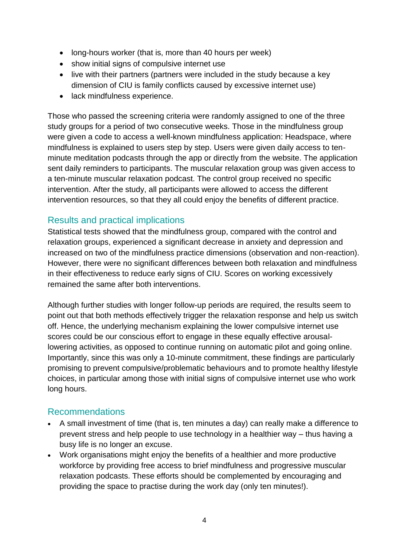- long-hours worker (that is, more than 40 hours per week)
- show initial signs of compulsive internet use
- live with their partners (partners were included in the study because a key dimension of CIU is family conflicts caused by excessive internet use)
- lack mindfulness experience.

Those who passed the screening criteria were randomly assigned to one of the three study groups for a period of two consecutive weeks. Those in the mindfulness group were given a code to access a well-known mindfulness application: Headspace, where mindfulness is explained to users step by step. Users were given daily access to tenminute meditation podcasts through the app or directly from the website. The application sent daily reminders to participants. The muscular relaxation group was given access to a ten-minute muscular relaxation podcast. The control group received no specific intervention. After the study, all participants were allowed to access the different intervention resources, so that they all could enjoy the benefits of different practice.

#### Results and practical implications

Statistical tests showed that the mindfulness group, compared with the control and relaxation groups, experienced a significant decrease in anxiety and depression and increased on two of the mindfulness practice dimensions (observation and non-reaction). However, there were no significant differences between both relaxation and mindfulness in their effectiveness to reduce early signs of CIU. Scores on working excessively remained the same after both interventions.

Although further studies with longer follow-up periods are required, the results seem to point out that both methods effectively trigger the relaxation response and help us switch off. Hence, the underlying mechanism explaining the lower compulsive internet use scores could be our conscious effort to engage in these equally effective arousallowering activities, as opposed to continue running on automatic pilot and going online. Importantly, since this was only a 10-minute commitment, these findings are particularly promising to prevent compulsive/problematic behaviours and to promote healthy lifestyle choices, in particular among those with initial signs of compulsive internet use who work long hours.

#### Recommendations

- A small investment of time (that is, ten minutes a day) can really make a difference to prevent stress and help people to use technology in a healthier way – thus having a busy life is no longer an excuse.
- Work organisations might enjoy the benefits of a healthier and more productive workforce by providing free access to brief mindfulness and progressive muscular relaxation podcasts. These efforts should be complemented by encouraging and providing the space to practise during the work day (only ten minutes!).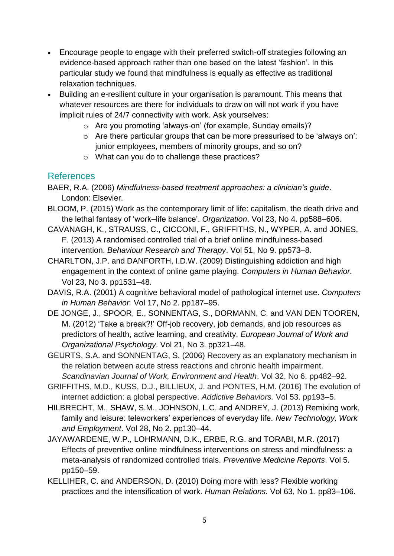- Encourage people to engage with their preferred switch-off strategies following an evidence-based approach rather than one based on the latest 'fashion'. In this particular study we found that mindfulness is equally as effective as traditional relaxation techniques.
- Building an e-resilient culture in your organisation is paramount. This means that whatever resources are there for individuals to draw on will not work if you have implicit rules of 24/7 connectivity with work. Ask yourselves:
	- o Are you promoting 'always-on' (for example, Sunday emails)?
	- o Are there particular groups that can be more pressurised to be 'always on': junior employees, members of minority groups, and so on?
	- o What can you do to challenge these practices?

### References

- BAER, R.A. (2006) *Mindfulness-based treatment approaches: a clinician's guide*. London: Elsevier.
- BLOOM, P. (2015) Work as the contemporary limit of life: capitalism, the death drive and the lethal fantasy of 'work–life balance'. *Organization*. Vol 23, No 4. pp588–606.
- CAVANAGH, K., STRAUSS, C., CICCONI, F., GRIFFITHS, N., WYPER, A. and JONES, F. (2013) A randomised controlled trial of a brief online mindfulness-based intervention. *Behaviour Research and Therapy*. Vol 51, No 9. pp573–8.
- CHARLTON, J.P. and DANFORTH, I.D.W. (2009) Distinguishing addiction and high engagement in the context of online game playing. *Computers in Human Behavior.*  Vol 23, No 3. pp1531–48.
- DAVIS, R.A. (2001) A cognitive behavioral model of pathological internet use. *Computers in Human Behavior.* Vol 17, No 2. pp187–95.
- DE JONGE, J., SPOOR, E., SONNENTAG, S., DORMANN, C. and VAN DEN TOOREN, M. (2012) 'Take a break?!' Off-job recovery, job demands, and job resources as predictors of health, active learning, and creativity. *European Journal of Work and Organizational Psychology*. Vol 21, No 3. pp321–48.
- GEURTS, S.A. and SONNENTAG, S. (2006) Recovery as an explanatory mechanism in the relation between acute stress reactions and chronic health impairment. *Scandinavian Journal of Work, Environment and Health*. Vol 32, No 6. pp482–92.
- GRIFFITHS, M.D., KUSS, D.J., BILLIEUX, J. and PONTES, H.M. (2016) The evolution of internet addiction: a global perspective. *Addictive Behaviors.* Vol 53. pp193–5.
- HILBRECHT, M., SHAW, S.M., JOHNSON, L.C. and ANDREY, J. (2013) Remixing work, family and leisure: teleworkers' experiences of everyday life. *New Technology, Work and Employment*. Vol 28, No 2. pp130–44.
- JAYAWARDENE, W.P., LOHRMANN, D.K., ERBE, R.G. and TORABI, M.R. (2017) Effects of preventive online mindfulness interventions on stress and mindfulness: a meta-analysis of randomized controlled trials. *Preventive Medicine Reports*. Vol 5. pp150–59.
- KELLIHER, C. and ANDERSON, D. (2010) Doing more with less? Flexible working practices and the intensification of work. *Human Relations.* Vol 63, No 1. pp83–106.